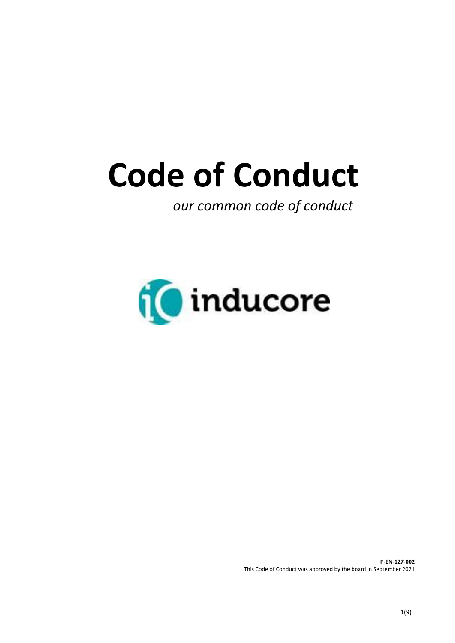# **Code of Conduct**

 *our common code of conduct*



**P-EN-127-002**  This Code of Conduct was approved by the board in September 2021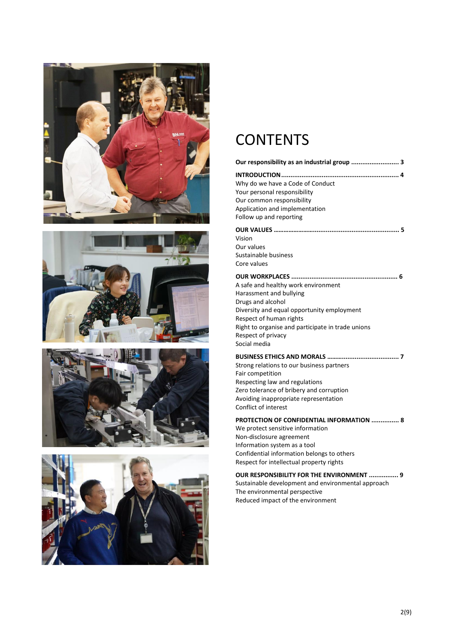







## **CONTENTS**

#### **Our responsibility as an industrial group .......................... 3**

**INTRODUCTION................................................................ 4** Why do we have a Code of Conduct Your personal responsibility Our common responsibility Application and implementation Follow up and reporting **OUR VALUES ……………………............................................... 5** Vision Our values Sustainable business Core values **OUR WORKPLACES .......................................................... 6** A safe and healthy work environment Harassment and bullying Drugs and alcohol Diversity and equal opportunity employment Respect of human rights Right to organise and participate in trade unions Respect of privacy Social media

#### **BUSINESS ETHICS AND MORALS ………............................... 7**

Strong relations to our business partners Fair competition Respecting law and regulations Zero tolerance of bribery and corruption Avoiding inappropriate representation Conflict of interest

#### **PROTECTION OF CONFIDENTIAL INFORMATION ............... 8**

We protect sensitive information Non-disclosure agreement Information system as a tool Confidential information belongs to others Respect for intellectual property rights

#### **OUR RESPONSIBILITY FOR THE ENVIRONMENT ................ 9**

Sustainable development and environmental approach The environmental perspective Reduced impact of the environment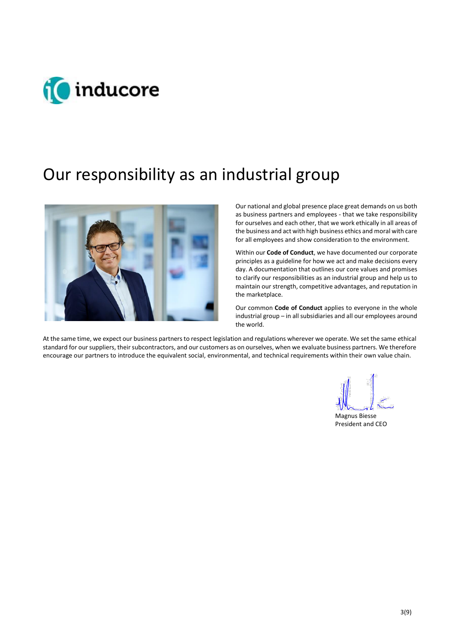

## Our responsibility as an industrial group



Our national and global presence place great demands on us both as business partners and employees - that we take responsibility for ourselves and each other, that we work ethically in all areas of the business and act with high business ethics and moral with care for all employees and show consideration to the environment.

Within our **Code of Conduct**, we have documented our corporate principles as a guideline for how we act and make decisions every day. A documentation that outlines our core values and promises to clarify our responsibilities as an industrial group and help us to maintain our strength, competitive advantages, and reputation in the marketplace.

Our common **Code of Conduct** applies to everyone in the whole industrial group – in all subsidiaries and all our employees around the world.

At the same time, we expect our business partners to respect legislation and regulations wherever we operate. We set the same ethical standard for our suppliers, their subcontractors, and our customers as on ourselves, when we evaluate business partners. We therefore encourage our partners to introduce the equivalent social, environmental, and technical requirements within their own value chain.

Magnus Biesse President and CEO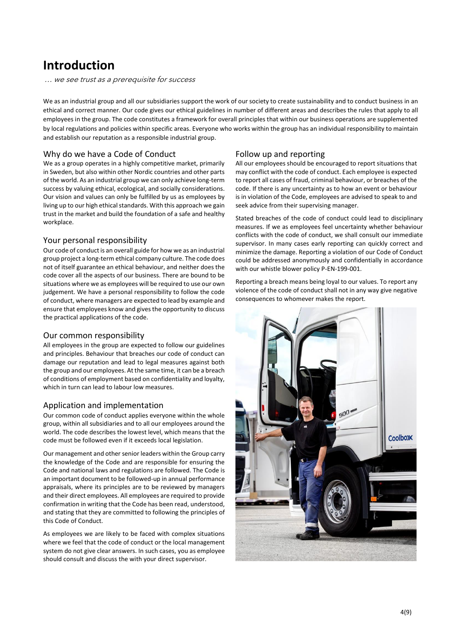## **Introduction**

… we see trust as a prerequisite for success

We as an industrial group and all our subsidiaries support the work of our society to create sustainability and to conduct business in an ethical and correct manner. Our code gives our ethical guidelines in number of different areas and describes the rules that apply to all employees in the group. The code constitutes a framework for overall principles that within our business operations are supplemented by local regulations and policies within specific areas. Everyone who works within the group has an individual responsibility to maintain and establish our reputation as a responsible industrial group.

#### Why do we have a Code of Conduct

We as a group operates in a highly competitive market, primarily in Sweden, but also within other Nordic countries and other parts of the world. As an industrial group we can only achieve long-term success by valuing ethical, ecological, and socially considerations. Our vision and values can only be fulfilled by us as employees by living up to our high ethical standards. With this approach we gain trust in the market and build the foundation of a safe and healthy workplace.

#### Your personal responsibility

Our code of conduct is an overall guide for how we as an industrial group project a long-term ethical company culture. The code does not of itself guarantee an ethical behaviour, and neither does the code cover all the aspects of our business. There are bound to be situations where we as employees will be required to use our own judgement. We have a personal responsibility to follow the code of conduct, where managers are expected to lead by example and ensure that employees know and givesthe opportunity to discuss the practical applications of the code.

#### Our common responsibility

All employees in the group are expected to follow our guidelines and principles. Behaviour that breaches our code of conduct can damage our reputation and lead to legal measures against both the group and our employees. At the same time, it can be a breach of conditions of employment based on confidentiality and loyalty, which in turn can lead to labour low measures.

#### Application and implementation

Our common code of conduct applies everyone within the whole group, within all subsidiaries and to all our employees around the world. The code describes the lowest level, which means that the code must be followed even if it exceeds local legislation.

Our management and other senior leaders within the Group carry the knowledge of the Code and are responsible for ensuring the Code and national laws and regulations are followed. The Code is an important document to be followed-up in annual performance appraisals, where its principles are to be reviewed by managers and their direct employees. All employees are required to provide confirmation in writing that the Code has been read, understood, and stating that they are committed to following the principles of this Code of Conduct.

As employees we are likely to be faced with complex situations where we feel that the code of conduct or the local management system do not give clear answers. In such cases, you as employee should consult and discuss the with your direct supervisor.

#### Follow up and reporting

All our employees should be encouraged to report situations that may conflict with the code of conduct. Each employee is expected to report all cases of fraud, criminal behaviour, or breaches of the code. If there is any uncertainty as to how an event or behaviour is in violation of the Code, employees are advised to speak to and seek advice from their supervising manager.

Stated breaches of the code of conduct could lead to disciplinary measures. If we as employees feel uncertainty whether behaviour conflicts with the code of conduct, we shall consult our immediate supervisor. In many cases early reporting can quickly correct and minimize the damage. Reporting a violation of our Code of Conduct could be addressed anonymously and confidentially in accordance with our whistle blower policy P-EN-199-001.

Reporting a breach means being loyal to our values. To report any violence of the code of conduct shall not in any way give negative consequences to whomever makes the report.

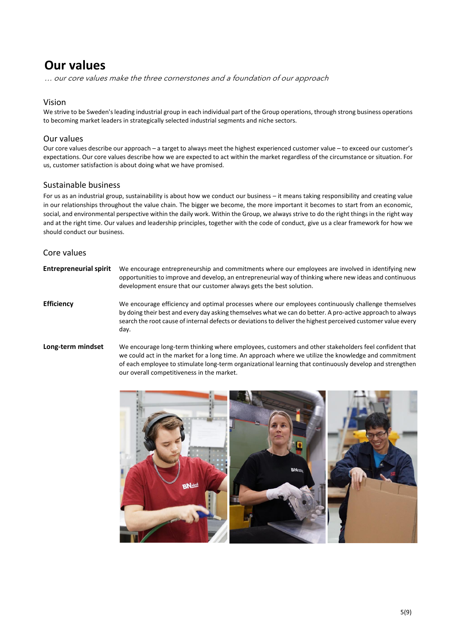## **Our values**

… our core values make the three cornerstones and a foundation of our approach

#### Vision

We strive to be Sweden's leading industrial group in each individual part of the Group operations, through strong business operations to becoming market leaders in strategically selected industrial segments and niche sectors.

#### Our values

Our core values describe our approach – a target to always meet the highest experienced customer value – to exceed our customer's expectations. Our core values describe how we are expected to act within the market regardless of the circumstance or situation. For us, customer satisfaction is about doing what we have promised.

#### Sustainable business

For us as an industrial group, sustainability is about how we conduct our business – it means taking responsibility and creating value in our relationships throughout the value chain. The bigger we become, the more important it becomes to start from an economic, social, and environmental perspective within the daily work. Within the Group, we always strive to do the right things in the right way and at the right time. Our values and leadership principles, together with the code of conduct, give us a clear framework for how we should conduct our business.

#### Core values

| <b>Entrepreneurial spirit</b> | We encourage entrepreneurship and commitments where our employees are involved in identifying new<br>opportunities to improve and develop, an entrepreneurial way of thinking where new ideas and continuous<br>development ensure that our customer always gets the best solution.                                                        |
|-------------------------------|--------------------------------------------------------------------------------------------------------------------------------------------------------------------------------------------------------------------------------------------------------------------------------------------------------------------------------------------|
| <b>Efficiency</b>             | We encourage efficiency and optimal processes where our employees continuously challenge themselves<br>by doing their best and every day asking themselves what we can do better. A pro-active approach to always<br>search the root cause of internal defects or deviations to deliver the highest perceived customer value every<br>day. |
| Long-term mindset             | We encourage long-term thinking where employees, customers and other stakeholders feel confident that<br>we could act in the market for a long time. An approach where we utilize the knowledge and commitment<br>of each employee to stimulate long-term organizational learning that continuously develop and strengthen                 |

our overall competitiveness in the market.

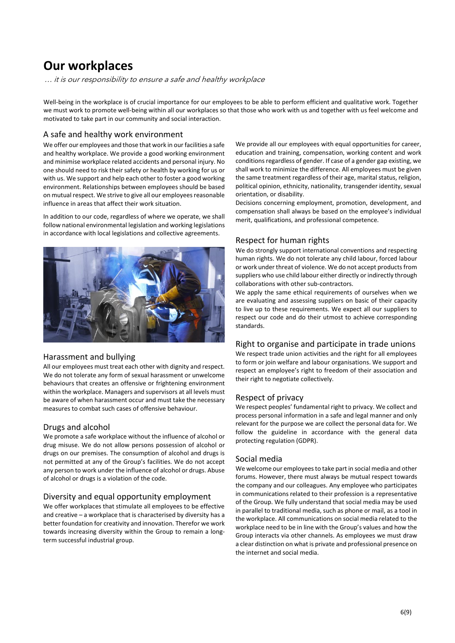## **Our workplaces**

… it is our responsibility to ensure a safe and healthy workplace

Well-being in the workplace is of crucial importance for our employees to be able to perform efficient and qualitative work. Together we must work to promote well-being within all our workplaces so that those who work with us and together with us feel welcome and motivated to take part in our community and social interaction.

#### A safe and healthy work environment

We offer our employees and those that work in our facilities a safe and healthy workplace. We provide a good working environment and minimise workplace related accidents and personal injury. No one should need to risk their safety or health by working for us or with us. We support and help each other to foster a good working environment. Relationships between employees should be based on mutual respect. We strive to give all our employees reasonable influence in areas that affect their work situation.

In addition to our code, regardless of where we operate, we shall follow national environmental legislation and working legislations in accordance with local legislations and collective agreements.



#### Harassment and bullying

All our employees must treat each other with dignity and respect. We do not tolerate any form of sexual harassment or unwelcome behaviours that creates an offensive or frightening environment within the workplace. Managers and supervisors at all levels must be aware of when harassment occur and must take the necessary measures to combat such cases of offensive behaviour.

#### Drugs and alcohol

We promote a safe workplace without the influence of alcohol or drug misuse. We do not allow persons possession of alcohol or drugs on our premises. The consumption of alcohol and drugs is not permitted at any of the Group's facilities. We do not accept any person to work under the influence of alcohol or drugs. Abuse of alcohol or drugs is a violation of the code.

#### Diversity and equal opportunity employment

We offer workplaces that stimulate all employees to be effective and creative – a workplace that is characterised by diversity has a better foundation for creativity and innovation. Therefor we work towards increasing diversity within the Group to remain a longterm successful industrial group.

We provide all our employees with equal opportunities for career, education and training, compensation, working content and work conditions regardless of gender. If case of a gender gap existing, we shall work to minimize the difference. All employees must be given the same treatment regardless of their age, marital status, religion, political opinion, ethnicity, nationality, transgender identity, sexual orientation, or disability.

Decisions concerning employment, promotion, development, and compensation shall always be based on the employee's individual merit, qualifications, and professional competence.

#### Respect for human rights

We do strongly support international conventions and respecting human rights. We do not tolerate any child labour, forced labour or work under threat of violence. We do not accept products from suppliers who use child labour either directly or indirectly through collaborations with other sub-contractors.

We apply the same ethical requirements of ourselves when we are evaluating and assessing suppliers on basic of their capacity to live up to these requirements. We expect all our suppliers to respect our code and do their utmost to achieve corresponding standards.

#### Right to organise and participate in trade unions

We respect trade union activities and the right for all employees to form or join welfare and labour organisations. We support and respect an employee's right to freedom of their association and their right to negotiate collectively.

#### Respect of privacy

We respect peoples' fundamental right to privacy. We collect and process personal information in a safe and legal manner and only relevant for the purpose we are collect the personal data for. We follow the guideline in accordance with the general data protecting regulation (GDPR).

#### Social media

We welcome our employees to take part in social media and other forums. However, there must always be mutual respect towards the company and our colleagues. Any employee who participates in communications related to their profession is a representative of the Group. We fully understand that social media may be used in parallel to traditional media, such as phone or mail, as a tool in the workplace. All communications on social media related to the workplace need to be in line with the Group's values and how the Group interacts via other channels. As employees we must draw a clear distinction on what is private and professional presence on the internet and social media.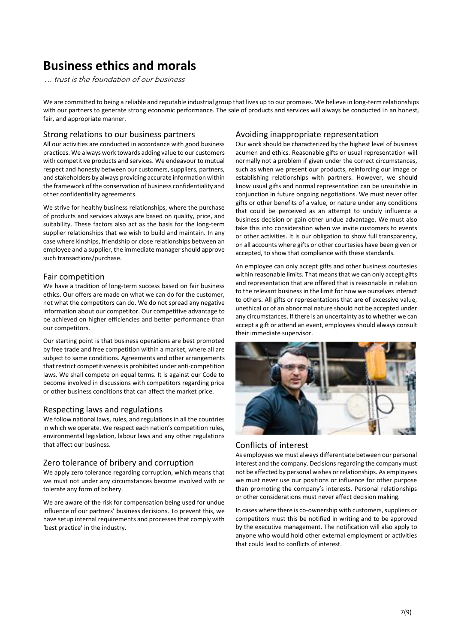## **Business ethics and morals**

… trust is the foundation of our business

We are committed to being a reliable and reputable industrial group that lives up to our promises. We believe in long-term relationships with our partners to generate strong economic performance. The sale of products and services will always be conducted in an honest, fair, and appropriate manner.

#### Strong relations to our business partners

All our activities are conducted in accordance with good business practices. We always work towards adding value to our customers with competitive products and services. We endeavour to mutual respect and honesty between our customers, suppliers, partners, and stakeholders by always providing accurate information within the framework of the conservation of business confidentiality and other confidentiality agreements.

We strive for healthy business relationships, where the purchase of products and services always are based on quality, price, and suitability. These factors also act as the basis for the long-term supplier relationships that we wish to build and maintain. In any case where kinships, friendship or close relationships between an employee and a supplier, the immediate managershould approve such transactions/purchase.

#### Fair competition

We have a tradition of long-term success based on fair business ethics. Our offers are made on what we can do for the customer, not what the competitors can do. We do not spread any negative information about our competitor. Our competitive advantage to be achieved on higher efficiencies and better performance than our competitors.

Our starting point is that business operations are best promoted by free trade and free competition within a market, where all are subject to same conditions. Agreements and other arrangements that restrict competitivenessis prohibited under anti-competition laws. We shall compete on equal terms. It is against our Code to become involved in discussions with competitors regarding price or other business conditions that can affect the market price.

#### Respecting laws and regulations

We follow national laws, rules, and regulations in all the countries in which we operate. We respect each nation's competition rules, environmental legislation, labour laws and any other regulations that affect our business.

#### Zero tolerance of bribery and corruption

We apply zero tolerance regarding corruption, which means that we must not under any circumstances become involved with or tolerate any form of bribery.

We are aware of the risk for compensation being used for undue influence of our partners' business decisions. To prevent this, we have setup internal requirements and processes that comply with 'best practice' in the industry.

#### Avoiding inappropriate representation

Our work should be characterized by the highest level of business acumen and ethics. Reasonable gifts or usual representation will normally not a problem if given under the correct circumstances, such as when we present our products, reinforcing our image or establishing relationships with partners. However, we should know usual gifts and normal representation can be unsuitable in conjunction in future ongoing negotiations. We must never offer gifts or other benefits of a value, or nature under any conditions that could be perceived as an attempt to unduly influence a business decision or gain other undue advantage. We must also take this into consideration when we invite customers to events or other activities. It is our obligation to show full transparency, on all accounts where gifts or other courtesies have been given or accepted, to show that compliance with these standards.

An employee can only accept gifts and other business courtesies within reasonable limits. That means that we can only accept gifts and representation that are offered that is reasonable in relation to the relevant business in the limit for how we ourselves interact to others. All gifts or representations that are of excessive value, unethical or of an abnormal nature should not be accepted under any circumstances. If there is an uncertainty as to whether we can accept a gift or attend an event, employees should always consult their immediate supervisor.



#### Conflicts of interest

As employees we must always differentiate between our personal interest and the company. Decisions regarding the company must not be affected by personal wishes or relationships. As employees we must never use our positions or influence for other purpose than promoting the company's interests. Personal relationships or other considerations must never affect decision making.

In cases where there is co-ownership with customers, suppliers or competitors must this be notified in writing and to be approved by the executive management. The notification will also apply to anyone who would hold other external employment or activities that could lead to conflicts of interest.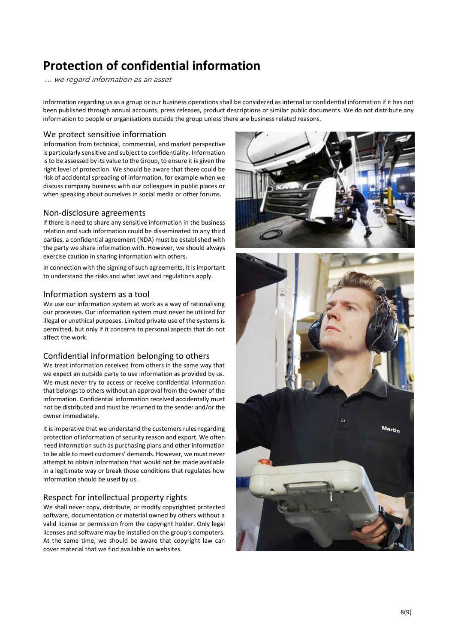## **Protection of confidential information**

… we regard information as an asset

Information regarding us as a group or our business operations shall be considered as internal or confidential information if it has not been published through annual accounts, press releases, product descriptions or similar public documents. We do not distribute any information to people or organisations outside the group unless there are business related reasons.

#### We protect sensitive information

Information from technical, commercial, and market perspective is particularly sensitive and subject to confidentiality. Information is to be assessed by its value to the Group, to ensure it is given the right level of protection. We should be aware that there could be risk of accidental spreading of information, for example when we discuss company business with our colleagues in public places or when speaking about ourselves in social media or other forums.

#### Non-disclosure agreements

If there is need to share any sensitive information in the business relation and such information could be disseminated to any third parties, a confidential agreement (NDA) must be established with the party we share information with. However, we should always exercise caution in sharing information with others.

In connection with the signing of such agreements, it is important to understand the risks and what laws and regulations apply.

#### Information system as a tool

We use our information system at work as a way of rationalising our processes. Our information system must never be utilized for illegal or unethical purposes. Limited private use of the systems is permitted, but only if it concerns to personal aspects that do not affect the work.

#### Confidential information belonging to others

We treat information received from others in the same way that we expect an outside party to use information as provided by us. We must never try to access or receive confidential information that belongs to others without an approval from the owner of the information. Confidential information received accidentally must not be distributed and must be returned to the sender and/or the owner immediately.

It is imperative that we understand the customers rules regarding protection of information of security reason and export. We often need information such as purchasing plans and other information to be able to meet customers' demands. However, we must never attempt to obtain information that would not be made available in a legitimate way or break those conditions that regulates how information should be used by us.

#### Respect for intellectual property rights

We shall never copy, distribute, or modify copyrighted protected software, documentation or material owned by others without a valid license or permission from the copyright holder. Only legal licenses and software may be installed on the group's computers. At the same time, we should be aware that copyright law can cover material that we find available on websites.